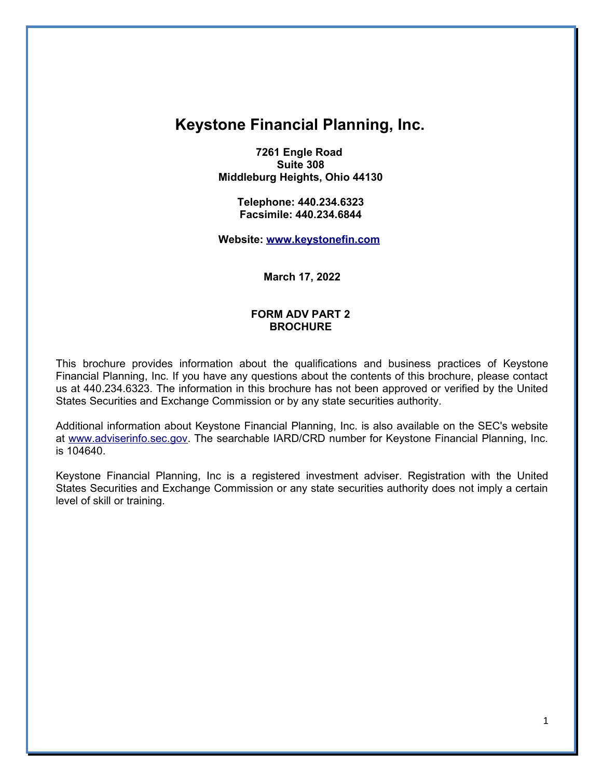# **Keystone Financial Planning, Inc.**

**7261 Engle Road Suite 308 Middleburg Heights, Ohio 44130** 

> **Telephone: 440.234.6323 Facsimile: 440.234.6844**

**Website: [www.keystonefin.com](http://www.keystonefin.com/)**

**March 17, 2022**

### **FORM ADV PART 2 BROCHURE**

This brochure provides information about the qualifications and business practices of Keystone Financial Planning, Inc. If you have any questions about the contents of this brochure, please contact us at 440.234.6323. The information in this brochure has not been approved or verified by the United States Securities and Exchange Commission or by any state securities authority.

Additional information about Keystone Financial Planning, Inc. is also available on the SEC's website at [www.adviserinfo.sec.gov.](http://www.adviserinfo.sec.gov/) The searchable IARD/CRD number for Keystone Financial Planning, Inc. is 104640.

Keystone Financial Planning, Inc is a registered investment adviser. Registration with the United States Securities and Exchange Commission or any state securities authority does not imply a certain level of skill or training.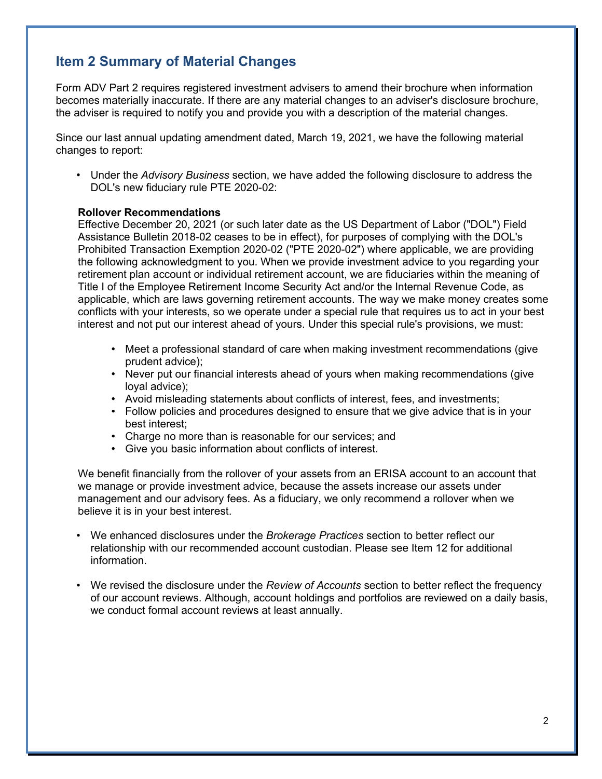## **Item 2 Summary of Material Changes**

Form ADV Part 2 requires registered investment advisers to amend their brochure when information becomes materially inaccurate. If there are any material changes to an adviser's disclosure brochure, the adviser is required to notify you and provide you with a description of the material changes.

Since our last annual updating amendment dated, March 19, 2021, we have the following material changes to report:

• Under the *Advisory Business* section, we have added the following disclosure to address the DOL's new fiduciary rule PTE 2020-02:

#### **Rollover Recommendations**

Effective December 20, 2021 (or such later date as the US Department of Labor ("DOL") Field Assistance Bulletin 2018-02 ceases to be in effect), for purposes of complying with the DOL's Prohibited Transaction Exemption 2020-02 ("PTE 2020-02") where applicable, we are providing the following acknowledgment to you. When we provide investment advice to you regarding your retirement plan account or individual retirement account, we are fiduciaries within the meaning of Title I of the Employee Retirement Income Security Act and/or the Internal Revenue Code, as applicable, which are laws governing retirement accounts. The way we make money creates some conflicts with your interests, so we operate under a special rule that requires us to act in your best interest and not put our interest ahead of yours. Under this special rule's provisions, we must:

- Meet a professional standard of care when making investment recommendations (give prudent advice);
- Never put our financial interests ahead of yours when making recommendations (give loyal advice);
- Avoid misleading statements about conflicts of interest, fees, and investments;
- Follow policies and procedures designed to ensure that we give advice that is in your best interest;
- Charge no more than is reasonable for our services; and
- Give you basic information about conflicts of interest.

We benefit financially from the rollover of your assets from an ERISA account to an account that we manage or provide investment advice, because the assets increase our assets under management and our advisory fees. As a fiduciary, we only recommend a rollover when we believe it is in your best interest.

- We enhanced disclosures under the *Brokerage Practices* section to better reflect our relationship with our recommended account custodian. Please see Item 12 for additional information.
- We revised the disclosure under the *Review of Accounts* section to better reflect the frequency of our account reviews. Although, account holdings and portfolios are reviewed on a daily basis, we conduct formal account reviews at least annually.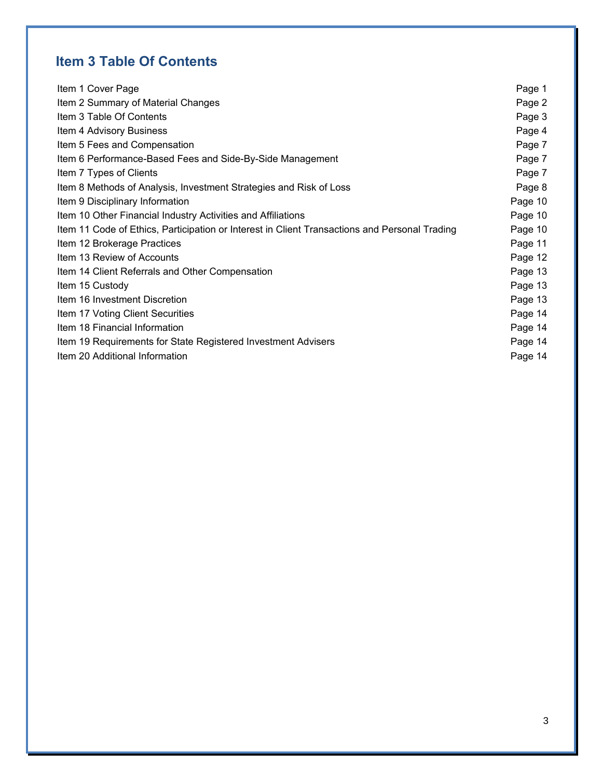# **Item 3 Table Of Contents**

| Item 1 Cover Page                                                                             | Page 1  |
|-----------------------------------------------------------------------------------------------|---------|
| Item 2 Summary of Material Changes                                                            | Page 2  |
| Item 3 Table Of Contents                                                                      | Page 3  |
| Item 4 Advisory Business                                                                      | Page 4  |
| Item 5 Fees and Compensation                                                                  | Page 7  |
| Item 6 Performance-Based Fees and Side-By-Side Management                                     | Page 7  |
| Item 7 Types of Clients                                                                       | Page 7  |
| Item 8 Methods of Analysis, Investment Strategies and Risk of Loss                            | Page 8  |
| Item 9 Disciplinary Information                                                               | Page 10 |
| Item 10 Other Financial Industry Activities and Affiliations                                  | Page 10 |
| Item 11 Code of Ethics, Participation or Interest in Client Transactions and Personal Trading | Page 10 |
| Item 12 Brokerage Practices                                                                   | Page 11 |
| Item 13 Review of Accounts                                                                    | Page 12 |
| Item 14 Client Referrals and Other Compensation                                               | Page 13 |
| Item 15 Custody                                                                               | Page 13 |
| Item 16 Investment Discretion                                                                 | Page 13 |
| Item 17 Voting Client Securities                                                              | Page 14 |
| Item 18 Financial Information                                                                 | Page 14 |
| Item 19 Requirements for State Registered Investment Advisers                                 | Page 14 |
| Item 20 Additional Information                                                                | Page 14 |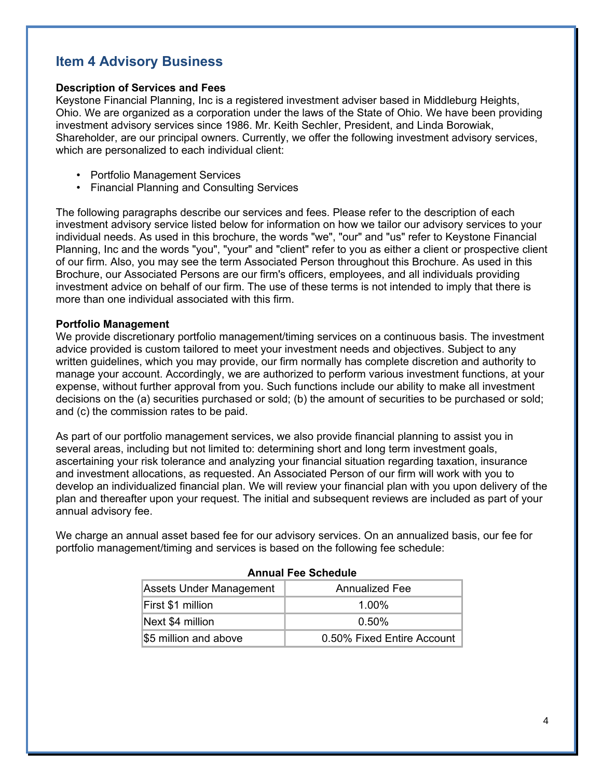## **Item 4 Advisory Business**

#### **Description of Services and Fees**

Keystone Financial Planning, Inc is a registered investment adviser based in Middleburg Heights, Ohio. We are organized as a corporation under the laws of the State of Ohio. We have been providing investment advisory services since 1986. Mr. Keith Sechler, President, and Linda Borowiak, Shareholder, are our principal owners. Currently, we offer the following investment advisory services, which are personalized to each individual client:

- Portfolio Management Services
- Financial Planning and Consulting Services

The following paragraphs describe our services and fees. Please refer to the description of each investment advisory service listed below for information on how we tailor our advisory services to your individual needs. As used in this brochure, the words "we", "our" and "us" refer to Keystone Financial Planning, Inc and the words "you", "your" and "client" refer to you as either a client or prospective client of our firm. Also, you may see the term Associated Person throughout this Brochure. As used in this Brochure, our Associated Persons are our firm's officers, employees, and all individuals providing investment advice on behalf of our firm. The use of these terms is not intended to imply that there is more than one individual associated with this firm.

#### **Portfolio Management**

We provide discretionary portfolio management/timing services on a continuous basis. The investment advice provided is custom tailored to meet your investment needs and objectives. Subject to any written guidelines, which you may provide, our firm normally has complete discretion and authority to manage your account. Accordingly, we are authorized to perform various investment functions, at your expense, without further approval from you. Such functions include our ability to make all investment decisions on the (a) securities purchased or sold; (b) the amount of securities to be purchased or sold; and (c) the commission rates to be paid.

As part of our portfolio management services, we also provide financial planning to assist you in several areas, including but not limited to: determining short and long term investment goals, ascertaining your risk tolerance and analyzing your financial situation regarding taxation, insurance and investment allocations, as requested. An Associated Person of our firm will work with you to develop an individualized financial plan. We will review your financial plan with you upon delivery of the plan and thereafter upon your request. The initial and subsequent reviews are included as part of your annual advisory fee.

We charge an annual asset based fee for our advisory services. On an annualized basis, our fee for portfolio management/timing and services is based on the following fee schedule:

| <b>Annual Fee Schedule</b> |                            |  |
|----------------------------|----------------------------|--|
| Assets Under Management    | <b>Annualized Fee</b>      |  |
| First \$1 million          | $1.00\%$                   |  |
| Next \$4 million           | $0.50\%$                   |  |
| \$5 million and above      | 0.50% Fixed Entire Account |  |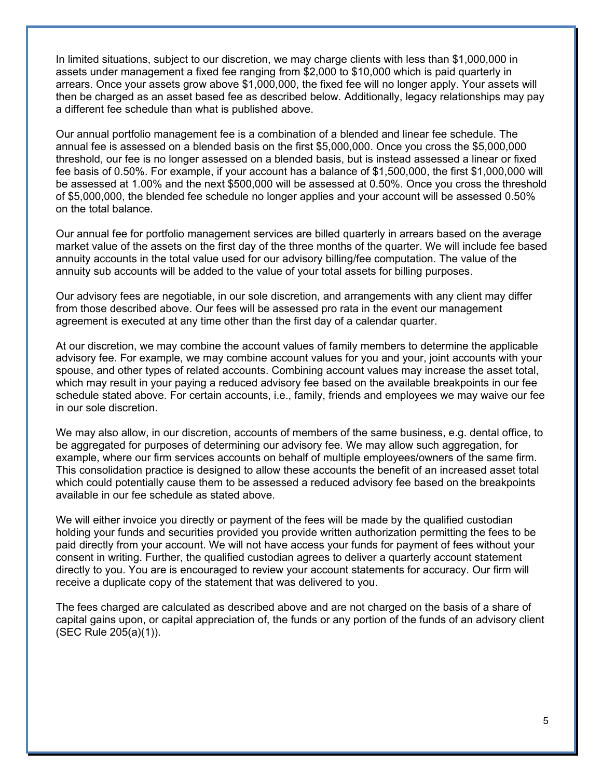In limited situations, subject to our discretion, we may charge clients with less than \$1,000,000 in assets under management a fixed fee ranging from \$2,000 to \$10,000 which is paid quarterly in arrears. Once your assets grow above \$1,000,000, the fixed fee will no longer apply. Your assets will then be charged as an asset based fee as described below. Additionally, legacy relationships may pay a different fee schedule than what is published above.

Our annual portfolio management fee is a combination of a blended and linear fee schedule. The annual fee is assessed on a blended basis on the first \$5,000,000. Once you cross the \$5,000,000 threshold, our fee is no longer assessed on a blended basis, but is instead assessed a linear or fixed fee basis of 0.50%. For example, if your account has a balance of \$1,500,000, the first \$1,000,000 will be assessed at 1.00% and the next \$500,000 will be assessed at 0.50%. Once you cross the threshold of \$5,000,000, the blended fee schedule no longer applies and your account will be assessed 0.50% on the total balance.

Our annual fee for portfolio management services are billed quarterly in arrears based on the average market value of the assets on the first day of the three months of the quarter. We will include fee based annuity accounts in the total value used for our advisory billing/fee computation. The value of the annuity sub accounts will be added to the value of your total assets for billing purposes.

Our advisory fees are negotiable, in our sole discretion, and arrangements with any client may differ from those described above. Our fees will be assessed pro rata in the event our management agreement is executed at any time other than the first day of a calendar quarter.

At our discretion, we may combine the account values of family members to determine the applicable advisory fee. For example, we may combine account values for you and your, joint accounts with your spouse, and other types of related accounts. Combining account values may increase the asset total, which may result in your paying a reduced advisory fee based on the available breakpoints in our fee schedule stated above. For certain accounts, i.e., family, friends and employees we may waive our fee in our sole discretion.

We may also allow, in our discretion, accounts of members of the same business, e.g. dental office, to be aggregated for purposes of determining our advisory fee. We may allow such aggregation, for example, where our firm services accounts on behalf of multiple employees/owners of the same firm. This consolidation practice is designed to allow these accounts the benefit of an increased asset total which could potentially cause them to be assessed a reduced advisory fee based on the breakpoints available in our fee schedule as stated above.

We will either invoice you directly or payment of the fees will be made by the qualified custodian holding your funds and securities provided you provide written authorization permitting the fees to be paid directly from your account. We will not have access your funds for payment of fees without your consent in writing. Further, the qualified custodian agrees to deliver a quarterly account statement directly to you. You are is encouraged to review your account statements for accuracy. Our firm will receive a duplicate copy of the statement that was delivered to you.

The fees charged are calculated as described above and are not charged on the basis of a share of capital gains upon, or capital appreciation of, the funds or any portion of the funds of an advisory client (SEC Rule 205(a)(1)).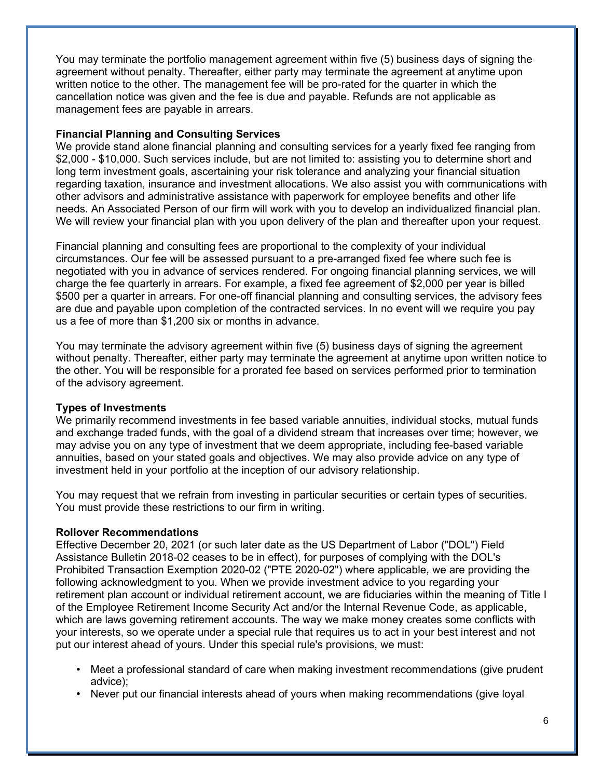You may terminate the portfolio management agreement within five (5) business days of signing the agreement without penalty. Thereafter, either party may terminate the agreement at anytime upon written notice to the other. The management fee will be pro-rated for the quarter in which the cancellation notice was given and the fee is due and payable. Refunds are not applicable as management fees are payable in arrears.

### **Financial Planning and Consulting Services**

We provide stand alone financial planning and consulting services for a yearly fixed fee ranging from \$2,000 - \$10,000. Such services include, but are not limited to: assisting you to determine short and long term investment goals, ascertaining your risk tolerance and analyzing your financial situation regarding taxation, insurance and investment allocations. We also assist you with communications with other advisors and administrative assistance with paperwork for employee benefits and other life needs. An Associated Person of our firm will work with you to develop an individualized financial plan. We will review your financial plan with you upon delivery of the plan and thereafter upon your request.

Financial planning and consulting fees are proportional to the complexity of your individual circumstances. Our fee will be assessed pursuant to a pre-arranged fixed fee where such fee is negotiated with you in advance of services rendered. For ongoing financial planning services, we will charge the fee quarterly in arrears. For example, a fixed fee agreement of \$2,000 per year is billed \$500 per a quarter in arrears. For one-off financial planning and consulting services, the advisory fees are due and payable upon completion of the contracted services. In no event will we require you pay us a fee of more than \$1,200 six or months in advance.

You may terminate the advisory agreement within five (5) business days of signing the agreement without penalty. Thereafter, either party may terminate the agreement at anytime upon written notice to the other. You will be responsible for a prorated fee based on services performed prior to termination of the advisory agreement.

### **Types of Investments**

We primarily recommend investments in fee based variable annuities, individual stocks, mutual funds and exchange traded funds, with the goal of a dividend stream that increases over time; however, we may advise you on any type of investment that we deem appropriate, including fee-based variable annuities, based on your stated goals and objectives. We may also provide advice on any type of investment held in your portfolio at the inception of our advisory relationship.

You may request that we refrain from investing in particular securities or certain types of securities. You must provide these restrictions to our firm in writing.

### **Rollover Recommendations**

Effective December 20, 2021 (or such later date as the US Department of Labor ("DOL") Field Assistance Bulletin 2018-02 ceases to be in effect), for purposes of complying with the DOL's Prohibited Transaction Exemption 2020-02 ("PTE 2020-02") where applicable, we are providing the following acknowledgment to you. When we provide investment advice to you regarding your retirement plan account or individual retirement account, we are fiduciaries within the meaning of Title I of the Employee Retirement Income Security Act and/or the Internal Revenue Code, as applicable, which are laws governing retirement accounts. The way we make money creates some conflicts with your interests, so we operate under a special rule that requires us to act in your best interest and not put our interest ahead of yours. Under this special rule's provisions, we must:

- Meet a professional standard of care when making investment recommendations (give prudent advice);
- Never put our financial interests ahead of yours when making recommendations (give loyal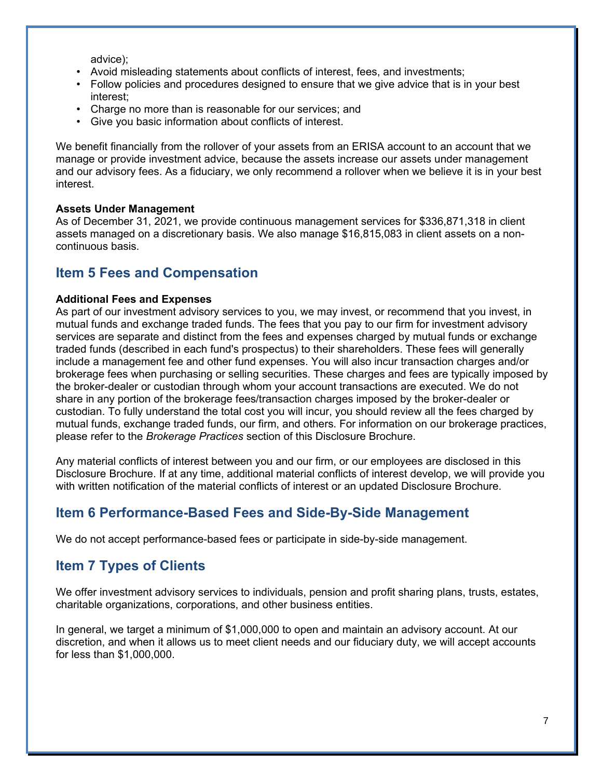advice);

- Avoid misleading statements about conflicts of interest, fees, and investments;
- Follow policies and procedures designed to ensure that we give advice that is in your best interest;
- Charge no more than is reasonable for our services; and
- Give you basic information about conflicts of interest.

We benefit financially from the rollover of your assets from an ERISA account to an account that we manage or provide investment advice, because the assets increase our assets under management and our advisory fees. As a fiduciary, we only recommend a rollover when we believe it is in your best interest.

### **Assets Under Management**

As of December 31, 2021, we provide continuous management services for \$336,871,318 in client assets managed on a discretionary basis. We also manage \$16,815,083 in client assets on a noncontinuous basis.

### **Item 5 Fees and Compensation**

### **Additional Fees and Expenses**

As part of our investment advisory services to you, we may invest, or recommend that you invest, in mutual funds and exchange traded funds. The fees that you pay to our firm for investment advisory services are separate and distinct from the fees and expenses charged by mutual funds or exchange traded funds (described in each fund's prospectus) to their shareholders. These fees will generally include a management fee and other fund expenses. You will also incur transaction charges and/or brokerage fees when purchasing or selling securities. These charges and fees are typically imposed by the broker-dealer or custodian through whom your account transactions are executed. We do not share in any portion of the brokerage fees/transaction charges imposed by the broker-dealer or custodian. To fully understand the total cost you will incur, you should review all the fees charged by mutual funds, exchange traded funds, our firm, and others. For information on our brokerage practices, please refer to the *Brokerage Practices* section of this Disclosure Brochure.

Any material conflicts of interest between you and our firm, or our employees are disclosed in this Disclosure Brochure. If at any time, additional material conflicts of interest develop, we will provide you with written notification of the material conflicts of interest or an updated Disclosure Brochure.

## **Item 6 Performance-Based Fees and Side-By-Side Management**

We do not accept performance-based fees or participate in side-by-side management.

### **Item 7 Types of Clients**

We offer investment advisory services to individuals, pension and profit sharing plans, trusts, estates, charitable organizations, corporations, and other business entities.

In general, we target a minimum of \$1,000,000 to open and maintain an advisory account. At our discretion, and when it allows us to meet client needs and our fiduciary duty, we will accept accounts for less than \$1,000,000.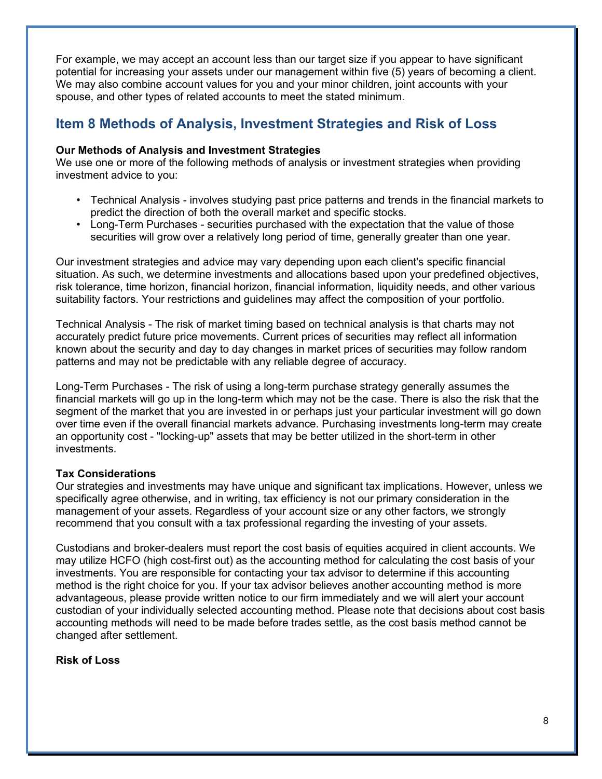For example, we may accept an account less than our target size if you appear to have significant potential for increasing your assets under our management within five (5) years of becoming a client. We may also combine account values for you and your minor children, joint accounts with your spouse, and other types of related accounts to meet the stated minimum.

## **Item 8 Methods of Analysis, Investment Strategies and Risk of Loss**

#### **Our Methods of Analysis and Investment Strategies**

We use one or more of the following methods of analysis or investment strategies when providing investment advice to you:

- Technical Analysis involves studying past price patterns and trends in the financial markets to predict the direction of both the overall market and specific stocks.
- Long-Term Purchases securities purchased with the expectation that the value of those securities will grow over a relatively long period of time, generally greater than one year.

Our investment strategies and advice may vary depending upon each client's specific financial situation. As such, we determine investments and allocations based upon your predefined objectives, risk tolerance, time horizon, financial horizon, financial information, liquidity needs, and other various suitability factors. Your restrictions and guidelines may affect the composition of your portfolio.

Technical Analysis - The risk of market timing based on technical analysis is that charts may not accurately predict future price movements. Current prices of securities may reflect all information known about the security and day to day changes in market prices of securities may follow random patterns and may not be predictable with any reliable degree of accuracy.

Long-Term Purchases - The risk of using a long-term purchase strategy generally assumes the financial markets will go up in the long-term which may not be the case. There is also the risk that the segment of the market that you are invested in or perhaps just your particular investment will go down over time even if the overall financial markets advance. Purchasing investments long-term may create an opportunity cost - "locking-up" assets that may be better utilized in the short-term in other investments.

### **Tax Considerations**

Our strategies and investments may have unique and significant tax implications. However, unless we specifically agree otherwise, and in writing, tax efficiency is not our primary consideration in the management of your assets. Regardless of your account size or any other factors, we strongly recommend that you consult with a tax professional regarding the investing of your assets.

Custodians and broker-dealers must report the cost basis of equities acquired in client accounts. We may utilize HCFO (high cost-first out) as the accounting method for calculating the cost basis of your investments. You are responsible for contacting your tax advisor to determine if this accounting method is the right choice for you. If your tax advisor believes another accounting method is more advantageous, please provide written notice to our firm immediately and we will alert your account custodian of your individually selected accounting method. Please note that decisions about cost basis accounting methods will need to be made before trades settle, as the cost basis method cannot be changed after settlement.

### **Risk of Loss**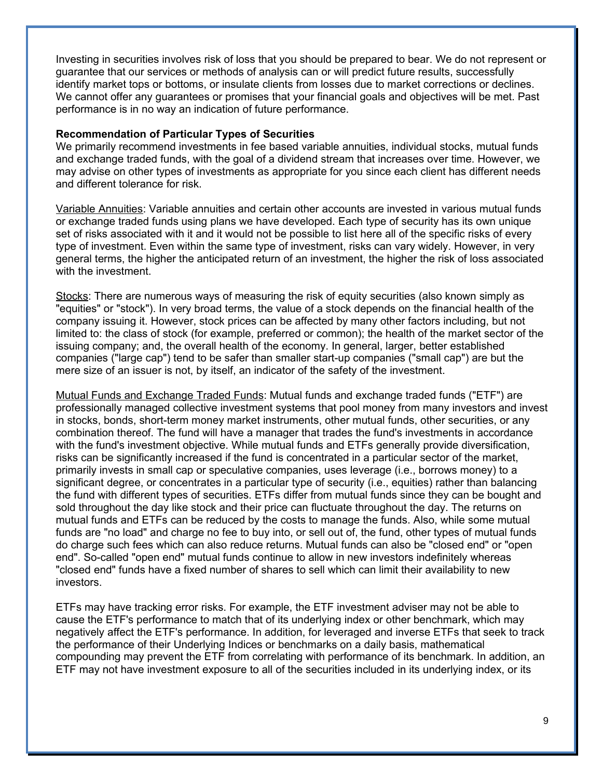Investing in securities involves risk of loss that you should be prepared to bear. We do not represent or guarantee that our services or methods of analysis can or will predict future results, successfully identify market tops or bottoms, or insulate clients from losses due to market corrections or declines. We cannot offer any guarantees or promises that your financial goals and objectives will be met. Past performance is in no way an indication of future performance.

#### **Recommendation of Particular Types of Securities**

We primarily recommend investments in fee based variable annuities, individual stocks, mutual funds and exchange traded funds, with the goal of a dividend stream that increases over time. However, we may advise on other types of investments as appropriate for you since each client has different needs and different tolerance for risk.

Variable Annuities: Variable annuities and certain other accounts are invested in various mutual funds or exchange traded funds using plans we have developed. Each type of security has its own unique set of risks associated with it and it would not be possible to list here all of the specific risks of every type of investment. Even within the same type of investment, risks can vary widely. However, in very general terms, the higher the anticipated return of an investment, the higher the risk of loss associated with the investment.

Stocks: There are numerous ways of measuring the risk of equity securities (also known simply as "equities" or "stock"). In very broad terms, the value of a stock depends on the financial health of the company issuing it. However, stock prices can be affected by many other factors including, but not limited to: the class of stock (for example, preferred or common); the health of the market sector of the issuing company; and, the overall health of the economy. In general, larger, better established companies ("large cap") tend to be safer than smaller start-up companies ("small cap") are but the mere size of an issuer is not, by itself, an indicator of the safety of the investment.

Mutual Funds and Exchange Traded Funds: Mutual funds and exchange traded funds ("ETF") are professionally managed collective investment systems that pool money from many investors and invest in stocks, bonds, short-term money market instruments, other mutual funds, other securities, or any combination thereof. The fund will have a manager that trades the fund's investments in accordance with the fund's investment objective. While mutual funds and ETFs generally provide diversification, risks can be significantly increased if the fund is concentrated in a particular sector of the market, primarily invests in small cap or speculative companies, uses leverage (i.e., borrows money) to a significant degree, or concentrates in a particular type of security (i.e., equities) rather than balancing the fund with different types of securities. ETFs differ from mutual funds since they can be bought and sold throughout the day like stock and their price can fluctuate throughout the day. The returns on mutual funds and ETFs can be reduced by the costs to manage the funds. Also, while some mutual funds are "no load" and charge no fee to buy into, or sell out of, the fund, other types of mutual funds do charge such fees which can also reduce returns. Mutual funds can also be "closed end" or "open end". So-called "open end" mutual funds continue to allow in new investors indefinitely whereas "closed end" funds have a fixed number of shares to sell which can limit their availability to new investors.

ETFs may have tracking error risks. For example, the ETF investment adviser may not be able to cause the ETF's performance to match that of its underlying index or other benchmark, which may negatively affect the ETF's performance. In addition, for leveraged and inverse ETFs that seek to track the performance of their Underlying Indices or benchmarks on a daily basis, mathematical compounding may prevent the ETF from correlating with performance of its benchmark. In addition, an ETF may not have investment exposure to all of the securities included in its underlying index, or its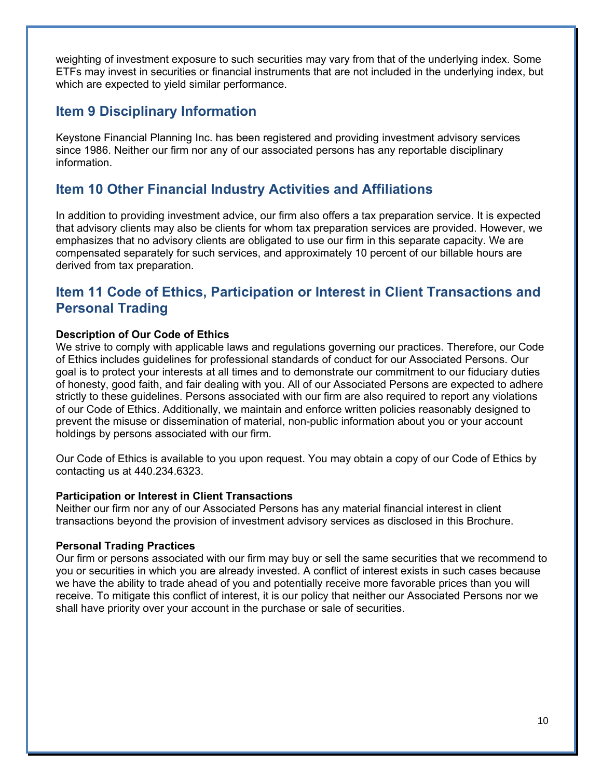weighting of investment exposure to such securities may vary from that of the underlying index. Some ETFs may invest in securities or financial instruments that are not included in the underlying index, but which are expected to yield similar performance.

### **Item 9 Disciplinary Information**

Keystone Financial Planning Inc. has been registered and providing investment advisory services since 1986. Neither our firm nor any of our associated persons has any reportable disciplinary information.

## **Item 10 Other Financial Industry Activities and Affiliations**

In addition to providing investment advice, our firm also offers a tax preparation service. It is expected that advisory clients may also be clients for whom tax preparation services are provided. However, we emphasizes that no advisory clients are obligated to use our firm in this separate capacity. We are compensated separately for such services, and approximately 10 percent of our billable hours are derived from tax preparation.

### **Item 11 Code of Ethics, Participation or Interest in Client Transactions and Personal Trading**

#### **Description of Our Code of Ethics**

We strive to comply with applicable laws and regulations governing our practices. Therefore, our Code of Ethics includes guidelines for professional standards of conduct for our Associated Persons. Our goal is to protect your interests at all times and to demonstrate our commitment to our fiduciary duties of honesty, good faith, and fair dealing with you. All of our Associated Persons are expected to adhere strictly to these guidelines. Persons associated with our firm are also required to report any violations of our Code of Ethics. Additionally, we maintain and enforce written policies reasonably designed to prevent the misuse or dissemination of material, non-public information about you or your account holdings by persons associated with our firm.

Our Code of Ethics is available to you upon request. You may obtain a copy of our Code of Ethics by contacting us at 440.234.6323.

#### **Participation or Interest in Client Transactions**

Neither our firm nor any of our Associated Persons has any material financial interest in client transactions beyond the provision of investment advisory services as disclosed in this Brochure.

#### **Personal Trading Practices**

Our firm or persons associated with our firm may buy or sell the same securities that we recommend to you or securities in which you are already invested. A conflict of interest exists in such cases because we have the ability to trade ahead of you and potentially receive more favorable prices than you will receive. To mitigate this conflict of interest, it is our policy that neither our Associated Persons nor we shall have priority over your account in the purchase or sale of securities.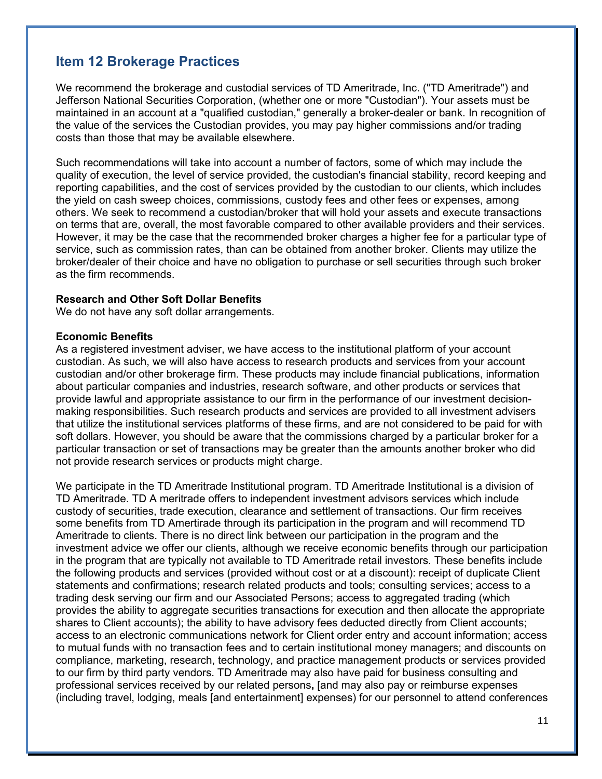## **Item 12 Brokerage Practices**

We recommend the brokerage and custodial services of TD Ameritrade, Inc. ("TD Ameritrade") and Jefferson National Securities Corporation, (whether one or more "Custodian"). Your assets must be maintained in an account at a "qualified custodian," generally a broker-dealer or bank. In recognition of the value of the services the Custodian provides, you may pay higher commissions and/or trading costs than those that may be available elsewhere.

Such recommendations will take into account a number of factors, some of which may include the quality of execution, the level of service provided, the custodian's financial stability, record keeping and reporting capabilities, and the cost of services provided by the custodian to our clients, which includes the yield on cash sweep choices, commissions, custody fees and other fees or expenses, among others. We seek to recommend a custodian/broker that will hold your assets and execute transactions on terms that are, overall, the most favorable compared to other available providers and their services. However, it may be the case that the recommended broker charges a higher fee for a particular type of service, such as commission rates, than can be obtained from another broker. Clients may utilize the broker/dealer of their choice and have no obligation to purchase or sell securities through such broker as the firm recommends.

#### **Research and Other Soft Dollar Benefits**

We do not have any soft dollar arrangements.

#### **Economic Benefits**

As a registered investment adviser, we have access to the institutional platform of your account custodian. As such, we will also have access to research products and services from your account custodian and/or other brokerage firm. These products may include financial publications, information about particular companies and industries, research software, and other products or services that provide lawful and appropriate assistance to our firm in the performance of our investment decisionmaking responsibilities. Such research products and services are provided to all investment advisers that utilize the institutional services platforms of these firms, and are not considered to be paid for with soft dollars. However, you should be aware that the commissions charged by a particular broker for a particular transaction or set of transactions may be greater than the amounts another broker who did not provide research services or products might charge.

We participate in the TD Ameritrade Institutional program. TD Ameritrade Institutional is a division of TD Ameritrade. TD A meritrade offers to independent investment advisors services which include custody of securities, trade execution, clearance and settlement of transactions. Our firm receives some benefits from TD Amertirade through its participation in the program and will recommend TD Ameritrade to clients. There is no direct link between our participation in the program and the investment advice we offer our clients, although we receive economic benefits through our participation in the program that are typically not available to TD Ameritrade retail investors. These benefits include the following products and services (provided without cost or at a discount): receipt of duplicate Client statements and confirmations; research related products and tools; consulting services; access to a trading desk serving our firm and our Associated Persons; access to aggregated trading (which provides the ability to aggregate securities transactions for execution and then allocate the appropriate shares to Client accounts); the ability to have advisory fees deducted directly from Client accounts; access to an electronic communications network for Client order entry and account information; access to mutual funds with no transaction fees and to certain institutional money managers; and discounts on compliance, marketing, research, technology, and practice management products or services provided to our firm by third party vendors. TD Ameritrade may also have paid for business consulting and professional services received by our related persons**,** [and may also pay or reimburse expenses (including travel, lodging, meals [and entertainment] expenses) for our personnel to attend conferences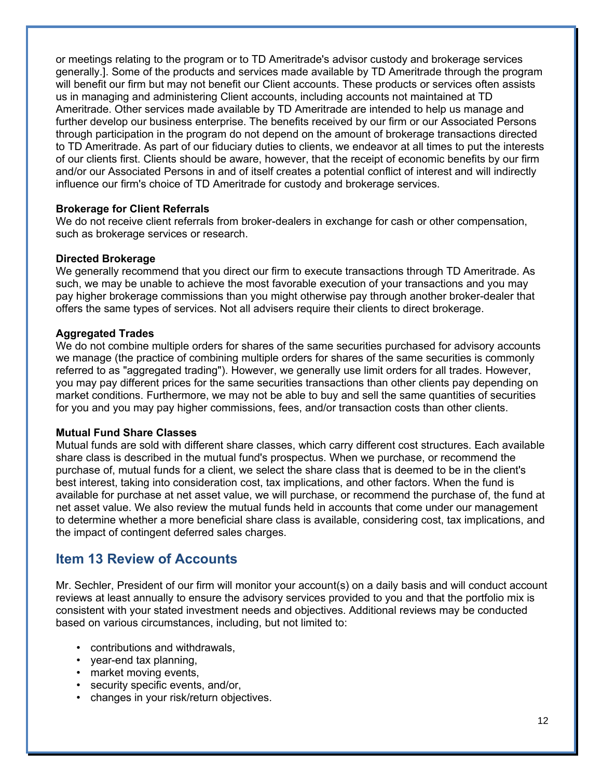or meetings relating to the program or to TD Ameritrade's advisor custody and brokerage services generally.]. Some of the products and services made available by TD Ameritrade through the program will benefit our firm but may not benefit our Client accounts. These products or services often assists us in managing and administering Client accounts, including accounts not maintained at TD Ameritrade. Other services made available by TD Ameritrade are intended to help us manage and further develop our business enterprise. The benefits received by our firm or our Associated Persons through participation in the program do not depend on the amount of brokerage transactions directed to TD Ameritrade. As part of our fiduciary duties to clients, we endeavor at all times to put the interests of our clients first. Clients should be aware, however, that the receipt of economic benefits by our firm and/or our Associated Persons in and of itself creates a potential conflict of interest and will indirectly influence our firm's choice of TD Ameritrade for custody and brokerage services.

#### **Brokerage for Client Referrals**

We do not receive client referrals from broker-dealers in exchange for cash or other compensation, such as brokerage services or research.

#### **Directed Brokerage**

We generally recommend that you direct our firm to execute transactions through TD Ameritrade. As such, we may be unable to achieve the most favorable execution of your transactions and you may pay higher brokerage commissions than you might otherwise pay through another broker-dealer that offers the same types of services. Not all advisers require their clients to direct brokerage.

#### **Aggregated Trades**

We do not combine multiple orders for shares of the same securities purchased for advisory accounts we manage (the practice of combining multiple orders for shares of the same securities is commonly referred to as "aggregated trading"). However, we generally use limit orders for all trades. However, you may pay different prices for the same securities transactions than other clients pay depending on market conditions. Furthermore, we may not be able to buy and sell the same quantities of securities for you and you may pay higher commissions, fees, and/or transaction costs than other clients.

#### **Mutual Fund Share Classes**

Mutual funds are sold with different share classes, which carry different cost structures. Each available share class is described in the mutual fund's prospectus. When we purchase, or recommend the purchase of, mutual funds for a client, we select the share class that is deemed to be in the client's best interest, taking into consideration cost, tax implications, and other factors. When the fund is available for purchase at net asset value, we will purchase, or recommend the purchase of, the fund at net asset value. We also review the mutual funds held in accounts that come under our management to determine whether a more beneficial share class is available, considering cost, tax implications, and the impact of contingent deferred sales charges.

### **Item 13 Review of Accounts**

Mr. Sechler, President of our firm will monitor your account(s) on a daily basis and will conduct account reviews at least annually to ensure the advisory services provided to you and that the portfolio mix is consistent with your stated investment needs and objectives. Additional reviews may be conducted based on various circumstances, including, but not limited to:

- contributions and withdrawals,
- year-end tax planning,
- market moving events,
- security specific events, and/or,
- changes in your risk/return objectives.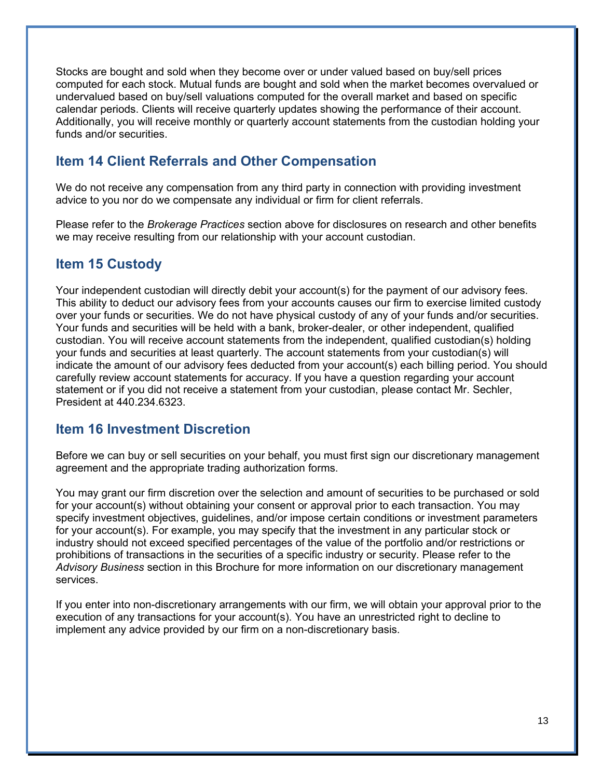Stocks are bought and sold when they become over or under valued based on buy/sell prices computed for each stock. Mutual funds are bought and sold when the market becomes overvalued or undervalued based on buy/sell valuations computed for the overall market and based on specific calendar periods. Clients will receive quarterly updates showing the performance of their account. Additionally, you will receive monthly or quarterly account statements from the custodian holding your funds and/or securities.

## **Item 14 Client Referrals and Other Compensation**

We do not receive any compensation from any third party in connection with providing investment advice to you nor do we compensate any individual or firm for client referrals.

Please refer to the *Brokerage Practices* section above for disclosures on research and other benefits we may receive resulting from our relationship with your account custodian.

### **Item 15 Custody**

Your independent custodian will directly debit your account(s) for the payment of our advisory fees. This ability to deduct our advisory fees from your accounts causes our firm to exercise limited custody over your funds or securities. We do not have physical custody of any of your funds and/or securities. Your funds and securities will be held with a bank, broker-dealer, or other independent, qualified custodian. You will receive account statements from the independent, qualified custodian(s) holding your funds and securities at least quarterly. The account statements from your custodian(s) will indicate the amount of our advisory fees deducted from your account(s) each billing period. You should carefully review account statements for accuracy. If you have a question regarding your account statement or if you did not receive a statement from your custodian, please contact Mr. Sechler, President at 440.234.6323.

### **Item 16 Investment Discretion**

Before we can buy or sell securities on your behalf, you must first sign our discretionary management agreement and the appropriate trading authorization forms.

You may grant our firm discretion over the selection and amount of securities to be purchased or sold for your account(s) without obtaining your consent or approval prior to each transaction. You may specify investment objectives, guidelines, and/or impose certain conditions or investment parameters for your account(s). For example, you may specify that the investment in any particular stock or industry should not exceed specified percentages of the value of the portfolio and/or restrictions or prohibitions of transactions in the securities of a specific industry or security. Please refer to the *Advisory Business* section in this Brochure for more information on our discretionary management services.

If you enter into non-discretionary arrangements with our firm, we will obtain your approval prior to the execution of any transactions for your account(s). You have an unrestricted right to decline to implement any advice provided by our firm on a non-discretionary basis.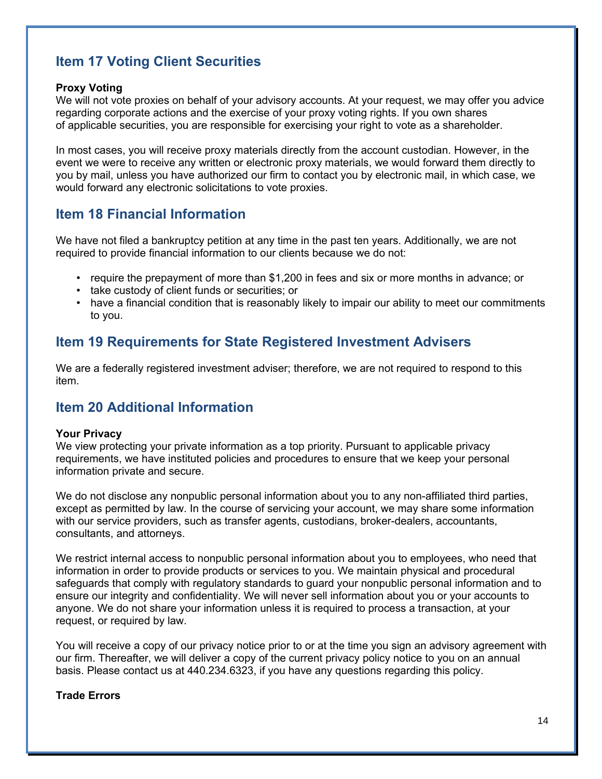# **Item 17 Voting Client Securities**

#### **Proxy Voting**

We will not vote proxies on behalf of your advisory accounts. At your request, we may offer you advice regarding corporate actions and the exercise of your proxy voting rights. If you own shares of applicable securities, you are responsible for exercising your right to vote as a shareholder.

In most cases, you will receive proxy materials directly from the account custodian. However, in the event we were to receive any written or electronic proxy materials, we would forward them directly to you by mail, unless you have authorized our firm to contact you by electronic mail, in which case, we would forward any electronic solicitations to vote proxies.

## **Item 18 Financial Information**

We have not filed a bankruptcy petition at any time in the past ten years. Additionally, we are not required to provide financial information to our clients because we do not:

- require the prepayment of more than \$1,200 in fees and six or more months in advance; or
- take custody of client funds or securities; or
- have a financial condition that is reasonably likely to impair our ability to meet our commitments to you.

## **Item 19 Requirements for State Registered Investment Advisers**

We are a federally registered investment adviser; therefore, we are not required to respond to this item.

## **Item 20 Additional Information**

#### **Your Privacy**

We view protecting your private information as a top priority. Pursuant to applicable privacy requirements, we have instituted policies and procedures to ensure that we keep your personal information private and secure.

We do not disclose any nonpublic personal information about you to any non-affiliated third parties, except as permitted by law. In the course of servicing your account, we may share some information with our service providers, such as transfer agents, custodians, broker-dealers, accountants, consultants, and attorneys.

We restrict internal access to nonpublic personal information about you to employees, who need that information in order to provide products or services to you. We maintain physical and procedural safeguards that comply with regulatory standards to guard your nonpublic personal information and to ensure our integrity and confidentiality. We will never sell information about you or your accounts to anyone. We do not share your information unless it is required to process a transaction, at your request, or required by law.

You will receive a copy of our privacy notice prior to or at the time you sign an advisory agreement with our firm. Thereafter, we will deliver a copy of the current privacy policy notice to you on an annual basis. Please contact us at 440.234.6323, if you have any questions regarding this policy.

### **Trade Errors**